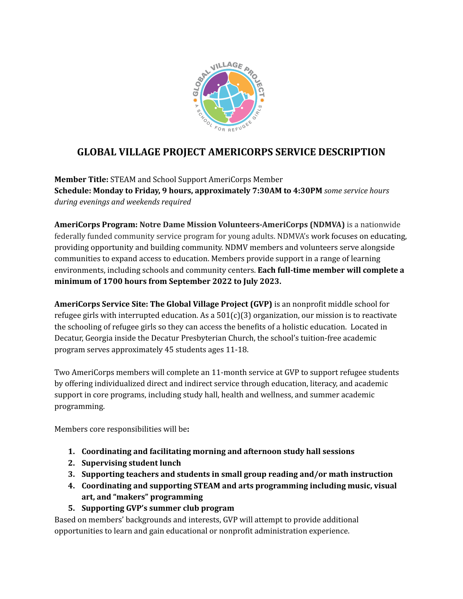

# **GLOBAL VILLAGE PROJECT AMERICORPS SERVICE DESCRIPTION**

**Member Title:** STEAM and School Support AmeriCorps Member **Schedule: Monday to Friday, 9 hours, approximately 7:30AM to 4:30PM** *some service hours during evenings and weekends required*

**AmeriCorps Program: Notre Dame Mission Volunteers-AmeriCorps (NDMVA)** is a nationwide federally funded community service program for young adults. NDMVA's work focuses on educating, providing opportunity and building community. NDMV members and volunteers serve alongside communities to expand access to education. Members provide support in a range of learning environments, including schools and community centers. **Each full-time member will complete a minimum of 1700 hours from September 2022 to July 2023.**

**AmeriCorps Service Site: The Global Village Project (GVP)** is an nonprofit middle school for refugee girls with interrupted education. As a  $501(c)(3)$  organization, our mission is to reactivate the schooling of refugee girls so they can access the benefits of a holistic education. Located in Decatur, Georgia inside the Decatur Presbyterian Church, the school's tuition-free academic program serves approximately 45 students ages 11-18.

Two AmeriCorps members will complete an 11-month service at GVP to support refugee students by offering individualized direct and indirect service through education, literacy, and academic support in core programs, including study hall, health and wellness, and summer academic programming.

Members core responsibilities will be**:**

- **1. Coordinating and facilitating morning and afternoon study hall sessions**
- **2. Supervising student lunch**
- **3. Supporting teachers and students in small group reading and/or math instruction**
- **4. Coordinating and supporting STEAM and arts programming including music, visual art, and "makers" programming**
- **5. Supporting GVP's summer club program**

Based on members' backgrounds and interests, GVP will attempt to provide additional opportunities to learn and gain educational or nonprofit administration experience.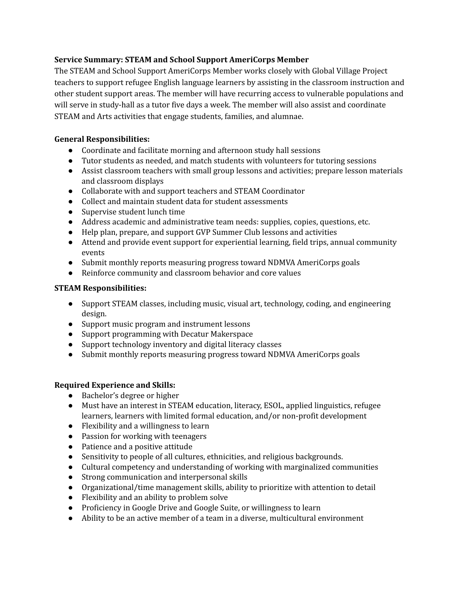### **Service Summary: STEAM and School Support AmeriCorps Member**

The STEAM and School Support AmeriCorps Member works closely with Global Village Project teachers to support refugee English language learners by assisting in the classroom instruction and other student support areas. The member will have recurring access to vulnerable populations and will serve in study-hall as a tutor five days a week. The member will also assist and coordinate STEAM and Arts activities that engage students, families, and alumnae.

### **General Responsibilities:**

- Coordinate and facilitate morning and afternoon study hall sessions
- Tutor students as needed, and match students with volunteers for tutoring sessions
- Assist classroom teachers with small group lessons and activities; prepare lesson materials and classroom displays
- Collaborate with and support teachers and STEAM Coordinator
- Collect and maintain student data for student assessments
- Supervise student lunch time
- Address academic and administrative team needs: supplies, copies, questions, etc.
- Help plan, prepare, and support GVP Summer Club lessons and activities
- Attend and provide event support for experiential learning, field trips, annual community events
- Submit monthly reports measuring progress toward NDMVA AmeriCorps goals
- Reinforce community and classroom behavior and core values

### **STEAM Responsibilities:**

- Support STEAM classes, including music, visual art, technology, coding, and engineering design.
- Support music program and instrument lessons
- Support programming with Decatur Makerspace
- Support technology inventory and digital literacy classes
- Submit monthly reports measuring progress toward NDMVA AmeriCorps goals

## **Required Experience and Skills:**

- Bachelor's degree or higher
- Must have an interest in STEAM education, literacy, ESOL, applied linguistics, refugee learners, learners with limited formal education, and/or non-profit development
- Flexibility and a willingness to learn
- Passion for working with teenagers
- Patience and a positive attitude
- Sensitivity to people of all cultures, ethnicities, and religious backgrounds.
- Cultural competency and understanding of working with marginalized communities
- Strong communication and interpersonal skills
- Organizational/time management skills, ability to prioritize with attention to detail
- Flexibility and an ability to problem solve
- Proficiency in Google Drive and Google Suite, or willingness to learn
- Ability to be an active member of a team in a diverse, multicultural environment